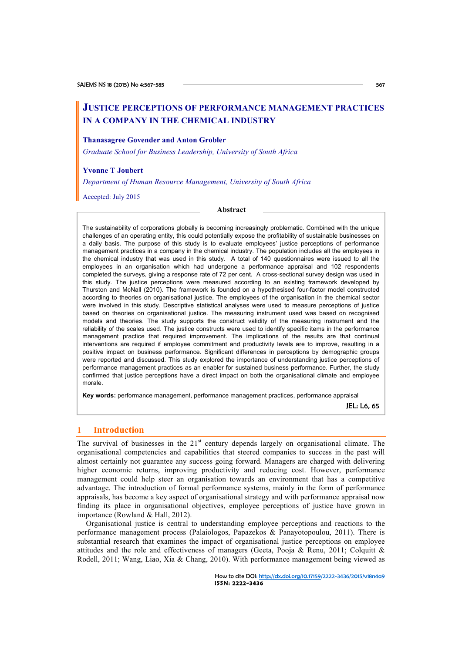# **JUSTICE PERCEPTIONS OF PERFORMANCE MANAGEMENT PRACTICES IN A COMPANY IN THE CHEMICAL INDUSTRY**

## **Thanasagree Govender and Anton Grobler**

*Graduate School for Business Leadership, University of South Africa*

### **Yvonne T Joubert**

*Department of Human Resource Management, University of South Africa*

Accepted: July 2015

### **Abstract**

The sustainability of corporations globally is becoming increasingly problematic. Combined with the unique challenges of an operating entity, this could potentially expose the profitability of sustainable businesses on a daily basis. The purpose of this study is to evaluate employees' justice perceptions of performance management practices in a company in the chemical industry. The population includes all the employees in the chemical industry that was used in this study. A total of 140 questionnaires were issued to all the employees in an organisation which had undergone a performance appraisal and 102 respondents completed the surveys, giving a response rate of 72 per cent. A cross-sectional survey design was used in this study. The justice perceptions were measured according to an existing framework developed by Thurston and McNall (2010). The framework is founded on a hypothesised four-factor model constructed according to theories on organisational justice. The employees of the organisation in the chemical sector were involved in this study. Descriptive statistical analyses were used to measure perceptions of justice based on theories on organisational justice. The measuring instrument used was based on recognised models and theories. The study supports the construct validity of the measuring instrument and the reliability of the scales used. The justice constructs were used to identify specific items in the performance management practice that required improvement. The implications of the results are that continual interventions are required if employee commitment and productivity levels are to improve, resulting in a positive impact on business performance. Significant differences in perceptions by demographic groups were reported and discussed. This study explored the importance of understanding justice perceptions of performance management practices as an enabler for sustained business performance. Further, the study confirmed that justice perceptions have a direct impact on both the organisational climate and employee morale.

**Key words:** performance management, performance management practices, performance appraisal

JEL: L6, 65

## **1 Introduction**

The survival of businesses in the  $21<sup>st</sup>$  century depends largely on organisational climate. The organisational competencies and capabilities that steered companies to success in the past will almost certainly not guarantee any success going forward. Managers are charged with delivering higher economic returns, improving productivity and reducing cost. However, performance management could help steer an organisation towards an environment that has a competitive advantage. The introduction of formal performance systems, mainly in the form of performance appraisals, has become a key aspect of organisational strategy and with performance appraisal now finding its place in organisational objectives, employee perceptions of justice have grown in importance (Rowland & Hall, 2012).

Organisational justice is central to understanding employee perceptions and reactions to the performance management process (Palaiologos, Papazekos & Panayotopoulou, 2011). There is substantial research that examines the impact of organisational justice perceptions on employee attitudes and the role and effectiveness of managers (Geeta, Pooja & Renu, 2011; Colquitt & Rodell, 2011; Wang, Liao, Xia & Chang, 2010). With performance management being viewed as

> How to cite DOI: http://dx.doi.org/10.17159/2222-3436/2015/v18n4a9 ISSN: 2222-3436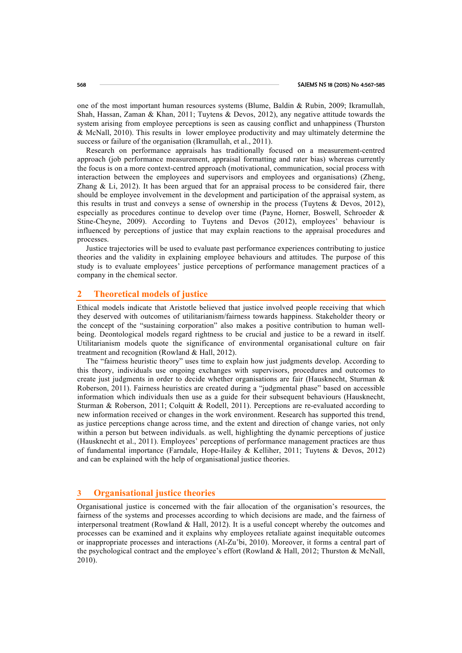one of the most important human resources systems (Blume, Baldin & Rubin, 2009; Ikramullah, Shah, Hassan, Zaman & Khan, 2011; Tuytens & Devos, 2012), any negative attitude towards the system arising from employee perceptions is seen as causing conflict and unhappiness (Thurston & McNall, 2010). This results in lower employee productivity and may ultimately determine the success or failure of the organisation (Ikramullah, et al., 2011).

Research on performance appraisals has traditionally focused on a measurement-centred approach (job performance measurement, appraisal formatting and rater bias) whereas currently the focus is on a more context-centred approach (motivational, communication, social process with interaction between the employees and supervisors and employees and organisations) (Zheng, Zhang  $\&$  Li, 2012). It has been argued that for an appraisal process to be considered fair, there should be employee involvement in the development and participation of the appraisal system, as this results in trust and conveys a sense of ownership in the process (Tuytens & Devos, 2012), especially as procedures continue to develop over time (Payne, Horner, Boswell, Schroeder & Stine-Cheyne, 2009). According to Tuytens and Devos (2012), employees' behaviour is influenced by perceptions of justice that may explain reactions to the appraisal procedures and processes.

Justice trajectories will be used to evaluate past performance experiences contributing to justice theories and the validity in explaining employee behaviours and attitudes. The purpose of this study is to evaluate employees' justice perceptions of performance management practices of a company in the chemical sector.

## **2 Theoretical models of justice**

Ethical models indicate that Aristotle believed that justice involved people receiving that which they deserved with outcomes of utilitarianism/fairness towards happiness. Stakeholder theory or the concept of the "sustaining corporation" also makes a positive contribution to human wellbeing. Deontological models regard rightness to be crucial and justice to be a reward in itself. Utilitarianism models quote the significance of environmental organisational culture on fair treatment and recognition (Rowland & Hall, 2012).

The "fairness heuristic theory" uses time to explain how just judgments develop. According to this theory, individuals use ongoing exchanges with supervisors, procedures and outcomes to create just judgments in order to decide whether organisations are fair (Hausknecht, Sturman & Roberson, 2011). Fairness heuristics are created during a "judgmental phase" based on accessible information which individuals then use as a guide for their subsequent behaviours (Hausknecht, Sturman & Roberson, 2011; Colquitt & Rodell, 2011). Perceptions are re-evaluated according to new information received or changes in the work environment. Research has supported this trend, as justice perceptions change across time, and the extent and direction of change varies, not only within a person but between individuals. as well, highlighting the dynamic perceptions of justice (Hausknecht et al., 2011). Employees' perceptions of performance management practices are thus of fundamental importance (Farndale, Hope-Hailey & Kelliher, 2011; Tuytens & Devos, 2012) and can be explained with the help of organisational justice theories.

## **3 Organisational justice theories**

Organisational justice is concerned with the fair allocation of the organisation's resources, the fairness of the systems and processes according to which decisions are made, and the fairness of interpersonal treatment (Rowland & Hall, 2012). It is a useful concept whereby the outcomes and processes can be examined and it explains why employees retaliate against inequitable outcomes or inappropriate processes and interactions (Al-Zu'bi, 2010). Moreover, it forms a central part of the psychological contract and the employee's effort (Rowland & Hall, 2012; Thurston & McNall, 2010).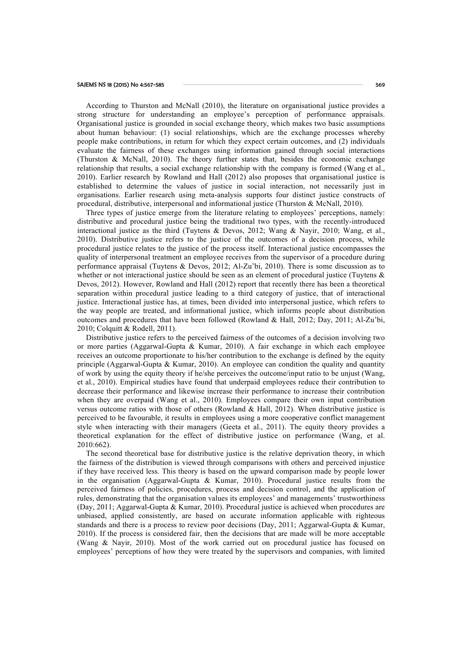#### SAJEMS NS 18 (2015) No 4:567-585 569

According to Thurston and McNall (2010), the literature on organisational justice provides a strong structure for understanding an employee's perception of performance appraisals. Organisational justice is grounded in social exchange theory, which makes two basic assumptions about human behaviour: (1) social relationships, which are the exchange processes whereby people make contributions, in return for which they expect certain outcomes, and (2) individuals evaluate the fairness of these exchanges using information gained through social interactions (Thurston & McNall, 2010). The theory further states that, besides the economic exchange relationship that results, a social exchange relationship with the company is formed (Wang et al., 2010). Earlier research by Rowland and Hall (2012) also proposes that organisational justice is established to determine the values of justice in social interaction, not necessarily just in organisations. Earlier research using meta-analysis supports four distinct justice constructs of procedural, distributive, interpersonal and informational justice (Thurston & McNall, 2010).

Three types of justice emerge from the literature relating to employees' perceptions, namely: distributive and procedural justice being the traditional two types, with the recently-introduced interactional justice as the third (Tuytens & Devos, 2012; Wang & Nayir, 2010; Wang, et al., 2010). Distributive justice refers to the justice of the outcomes of a decision process, while procedural justice relates to the justice of the process itself. Interactional justice encompasses the quality of interpersonal treatment an employee receives from the supervisor of a procedure during performance appraisal (Tuytens & Devos, 2012; Al-Zu'bi, 2010). There is some discussion as to whether or not interactional justice should be seen as an element of procedural justice (Tuytens & Devos, 2012). However, Rowland and Hall (2012) report that recently there has been a theoretical separation within procedural justice leading to a third category of justice, that of interactional justice. Interactional justice has, at times, been divided into interpersonal justice, which refers to the way people are treated, and informational justice, which informs people about distribution outcomes and procedures that have been followed (Rowland & Hall, 2012; Day, 2011; Al-Zu'bi, 2010; Colquitt & Rodell, 2011).

Distributive justice refers to the perceived fairness of the outcomes of a decision involving two or more parties (Aggarwal-Gupta & Kumar, 2010). A fair exchange in which each employee receives an outcome proportionate to his/her contribution to the exchange is defined by the equity principle (Aggarwal-Gupta & Kumar, 2010). An employee can condition the quality and quantity of work by using the equity theory if he/she perceives the outcome/input ratio to be unjust (Wang, et al., 2010). Empirical studies have found that underpaid employees reduce their contribution to decrease their performance and likewise increase their performance to increase their contribution when they are overpaid (Wang et al., 2010). Employees compare their own input contribution versus outcome ratios with those of others (Rowland & Hall, 2012). When distributive justice is perceived to be favourable, it results in employees using a more cooperative conflict management style when interacting with their managers (Geeta et al., 2011). The equity theory provides a theoretical explanation for the effect of distributive justice on performance (Wang, et al. 2010:662).

The second theoretical base for distributive justice is the relative deprivation theory, in which the fairness of the distribution is viewed through comparisons with others and perceived injustice if they have received less. This theory is based on the upward comparison made by people lower in the organisation (Aggarwal-Gupta & Kumar, 2010). Procedural justice results from the perceived fairness of policies, procedures, process and decision control, and the application of rules, demonstrating that the organisation values its employees' and managements' trustworthiness (Day, 2011; Aggarwal-Gupta & Kumar, 2010). Procedural justice is achieved when procedures are unbiased, applied consistently, are based on accurate information applicable with righteous standards and there is a process to review poor decisions (Day, 2011; Aggarwal-Gupta & Kumar, 2010). If the process is considered fair, then the decisions that are made will be more acceptable (Wang & Nayir, 2010). Most of the work carried out on procedural justice has focused on employees' perceptions of how they were treated by the supervisors and companies, with limited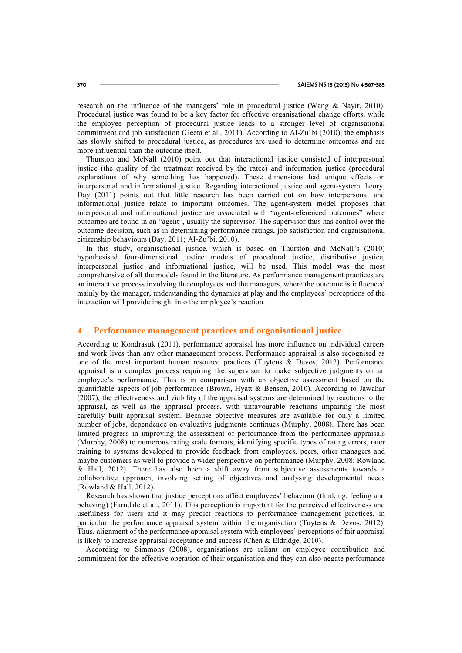research on the influence of the managers' role in procedural justice (Wang & Nayir, 2010). Procedural justice was found to be a key factor for effective organisational change efforts, while the employee perception of procedural justice leads to a stronger level of organisational commitment and job satisfaction (Geeta et al., 2011). According to Al-Zu'bi (2010), the emphasis has slowly shifted to procedural justice, as procedures are used to determine outcomes and are more influential than the outcome itself.

Thurston and McNall (2010) point out that interactional justice consisted of interpersonal justice (the quality of the treatment received by the ratee) and information justice (procedural explanations of why something has happened). These dimensions had unique effects on interpersonal and informational justice. Regarding interactional justice and agent-system theory, Day (2011) points out that little research has been carried out on how interpersonal and informational justice relate to important outcomes. The agent-system model proposes that interpersonal and informational justice are associated with "agent-referenced outcomes" where outcomes are found in an "agent", usually the supervisor. The supervisor thus has control over the outcome decision, such as in determining performance ratings, job satisfaction and organisational citizenship behaviours (Day, 2011; Al-Zu'bi, 2010).

In this study, organisational justice, which is based on Thurston and McNall's (2010) hypothesised four-dimensional justice models of procedural justice, distributive justice, interpersonal justice and informational justice, will be used. This model was the most comprehensive of all the models found in the literature. As performance management practices are an interactive process involving the employees and the managers, where the outcome is influenced mainly by the manager, understanding the dynamics at play and the employees' perceptions of the interaction will provide insight into the employee's reaction.

## **4 Performance management practices and organisational justice**

According to Kondrasuk (2011), performance appraisal has more influence on individual careers and work lives than any other management process. Performance appraisal is also recognised as one of the most important human resource practices (Tuytens & Devos, 2012). Performance appraisal is a complex process requiring the supervisor to make subjective judgments on an employee's performance. This is in comparison with an objective assessment based on the quantifiable aspects of job performance (Brown, Hyatt & Benson, 2010). According to Jawahar (2007), the effectiveness and viability of the appraisal systems are determined by reactions to the appraisal, as well as the appraisal process, with unfavourable reactions impairing the most carefully built appraisal system. Because objective measures are available for only a limited number of jobs, dependence on evaluative judgments continues (Murphy, 2008). There has been limited progress in improving the assessment of performance from the performance appraisals (Murphy, 2008) to numerous rating scale formats, identifying specific types of rating errors, rater training to systems developed to provide feedback from employees, peers, other managers and maybe customers as well to provide a wider perspective on performance (Murphy, 2008; Rowland & Hall, 2012). There has also been a shift away from subjective assessments towards a collaborative approach, involving setting of objectives and analysing developmental needs (Rowland & Hall, 2012).

Research has shown that justice perceptions affect employees' behaviour (thinking, feeling and behaving) (Farndale et al., 2011). This perception is important for the perceived effectiveness and usefulness for users and it may predict reactions to performance management practices, in particular the performance appraisal system within the organisation (Tuytens & Devos, 2012). Thus, alignment of the performance appraisal system with employees' perceptions of fair appraisal is likely to increase appraisal acceptance and success (Chen  $\&$  Eldridge, 2010).

According to Simmons (2008), organisations are reliant on employee contribution and commitment for the effective operation of their organisation and they can also negate performance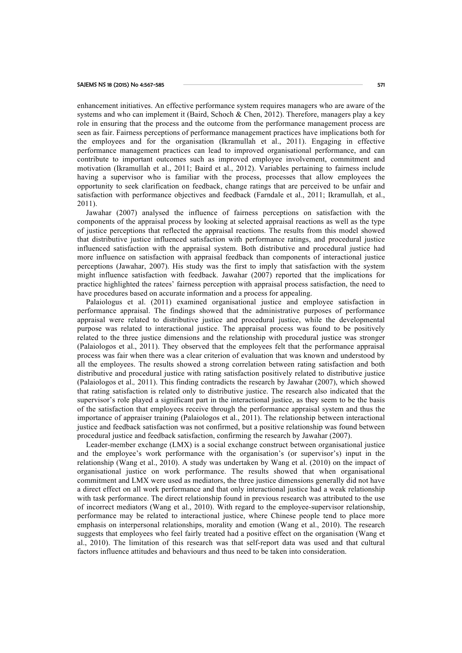enhancement initiatives. An effective performance system requires managers who are aware of the systems and who can implement it (Baird, Schoch  $\&$  Chen, 2012). Therefore, managers play a key role in ensuring that the process and the outcome from the performance management process are seen as fair. Fairness perceptions of performance management practices have implications both for the employees and for the organisation (Ikramullah et al., 2011). Engaging in effective performance management practices can lead to improved organisational performance, and can contribute to important outcomes such as improved employee involvement, commitment and motivation (Ikramullah et al., 2011; Baird et al., 2012). Variables pertaining to fairness include having a supervisor who is familiar with the process, processes that allow employees the opportunity to seek clarification on feedback, change ratings that are perceived to be unfair and satisfaction with performance objectives and feedback (Farndale et al., 2011; Ikramullah, et al., 2011).

Jawahar (2007) analysed the influence of fairness perceptions on satisfaction with the components of the appraisal process by looking at selected appraisal reactions as well as the type of justice perceptions that reflected the appraisal reactions. The results from this model showed that distributive justice influenced satisfaction with performance ratings, and procedural justice influenced satisfaction with the appraisal system. Both distributive and procedural justice had more influence on satisfaction with appraisal feedback than components of interactional justice perceptions (Jawahar, 2007). His study was the first to imply that satisfaction with the system might influence satisfaction with feedback. Jawahar (2007) reported that the implications for practice highlighted the ratees' fairness perception with appraisal process satisfaction, the need to have procedures based on accurate information and a process for appealing.

Palaiologus et al. (2011) examined organisational justice and employee satisfaction in performance appraisal. The findings showed that the administrative purposes of performance appraisal were related to distributive justice and procedural justice, while the developmental purpose was related to interactional justice. The appraisal process was found to be positively related to the three justice dimensions and the relationship with procedural justice was stronger (Palaiologos et al., 2011). They observed that the employees felt that the performance appraisal process was fair when there was a clear criterion of evaluation that was known and understood by all the employees. The results showed a strong correlation between rating satisfaction and both distributive and procedural justice with rating satisfaction positively related to distributive justice (Palaiologos et al.*,* 2011). This finding contradicts the research by Jawahar (2007), which showed that rating satisfaction is related only to distributive justice. The research also indicated that the supervisor's role played a significant part in the interactional justice, as they seem to be the basis of the satisfaction that employees receive through the performance appraisal system and thus the importance of appraiser training (Palaiologos et al., 2011). The relationship between interactional justice and feedback satisfaction was not confirmed, but a positive relationship was found between procedural justice and feedback satisfaction, confirming the research by Jawahar (2007).

Leader-member exchange (LMX) is a social exchange construct between organisational justice and the employee's work performance with the organisation's (or supervisor's) input in the relationship (Wang et al., 2010). A study was undertaken by Wang et al. (2010) on the impact of organisational justice on work performance. The results showed that when organisational commitment and LMX were used as mediators, the three justice dimensions generally did not have a direct effect on all work performance and that only interactional justice had a weak relationship with task performance. The direct relationship found in previous research was attributed to the use of incorrect mediators (Wang et al., 2010). With regard to the employee-supervisor relationship, performance may be related to interactional justice, where Chinese people tend to place more emphasis on interpersonal relationships, morality and emotion (Wang et al., 2010). The research suggests that employees who feel fairly treated had a positive effect on the organisation (Wang et al., 2010). The limitation of this research was that self-report data was used and that cultural factors influence attitudes and behaviours and thus need to be taken into consideration.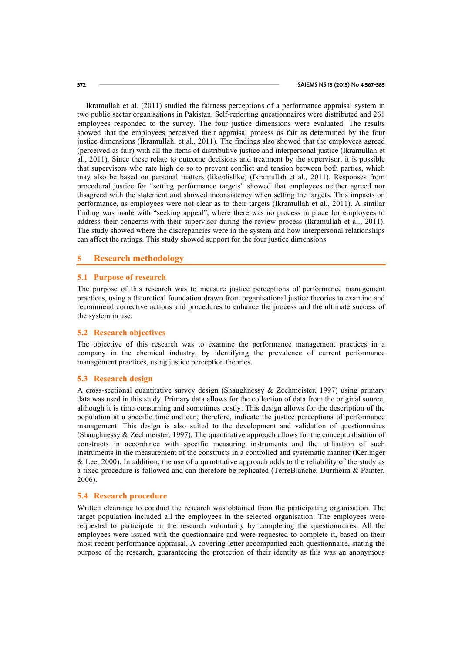Ikramullah et al. (2011) studied the fairness perceptions of a performance appraisal system in two public sector organisations in Pakistan. Self-reporting questionnaires were distributed and 261 employees responded to the survey. The four justice dimensions were evaluated. The results showed that the employees perceived their appraisal process as fair as determined by the four justice dimensions (Ikramullah, et al., 2011). The findings also showed that the employees agreed (perceived as fair) with all the items of distributive justice and interpersonal justice (Ikramullah et al., 2011). Since these relate to outcome decisions and treatment by the supervisor, it is possible that supervisors who rate high do so to prevent conflict and tension between both parties, which may also be based on personal matters (like/dislike) (Ikramullah et al.*,* 2011). Responses from procedural justice for "setting performance targets" showed that employees neither agreed nor disagreed with the statement and showed inconsistency when setting the targets. This impacts on performance, as employees were not clear as to their targets (Ikramullah et al., 2011). A similar finding was made with "seeking appeal", where there was no process in place for employees to address their concerns with their supervisor during the review process (Ikramullah et al., 2011). The study showed where the discrepancies were in the system and how interpersonal relationships can affect the ratings. This study showed support for the four justice dimensions.

## **5 Research methodology**

### **5.1 Purpose of research**

The purpose of this research was to measure justice perceptions of performance management practices, using a theoretical foundation drawn from organisational justice theories to examine and recommend corrective actions and procedures to enhance the process and the ultimate success of the system in use.

### **5.2 Research objectives**

The objective of this research was to examine the performance management practices in a company in the chemical industry, by identifying the prevalence of current performance management practices, using justice perception theories.

## **5.3 Research design**

A cross-sectional quantitative survey design (Shaughnessy & Zechmeister, 1997) using primary data was used in this study. Primary data allows for the collection of data from the original source, although it is time consuming and sometimes costly. This design allows for the description of the population at a specific time and can, therefore, indicate the justice perceptions of performance management. This design is also suited to the development and validation of questionnaires (Shaughnessy  $& Zechnerister, 1997$ ). The quantitative approach allows for the conceptualisation of constructs in accordance with specific measuring instruments and the utilisation of such instruments in the measurement of the constructs in a controlled and systematic manner (Kerlinger  $&$  Lee, 2000). In addition, the use of a quantitative approach adds to the reliability of the study as a fixed procedure is followed and can therefore be replicated (TerreBlanche, Durrheim & Painter, 2006).

## **5.4 Research procedure**

Written clearance to conduct the research was obtained from the participating organisation. The target population included all the employees in the selected organisation. The employees were requested to participate in the research voluntarily by completing the questionnaires. All the employees were issued with the questionnaire and were requested to complete it, based on their most recent performance appraisal. A covering letter accompanied each questionnaire, stating the purpose of the research, guaranteeing the protection of their identity as this was an anonymous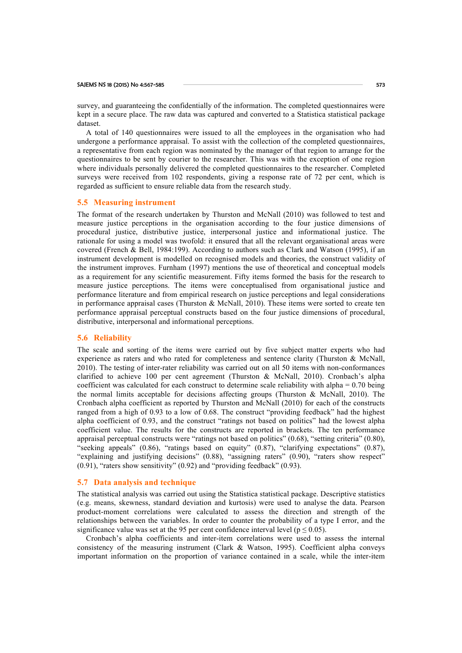#### SAJEMS NS 18 (2015) No 4:567-585  $\overline{\phantom{a}7}$

survey, and guaranteeing the confidentially of the information. The completed questionnaires were kept in a secure place. The raw data was captured and converted to a Statistica statistical package dataset.

A total of 140 questionnaires were issued to all the employees in the organisation who had undergone a performance appraisal. To assist with the collection of the completed questionnaires, a representative from each region was nominated by the manager of that region to arrange for the questionnaires to be sent by courier to the researcher. This was with the exception of one region where individuals personally delivered the completed questionnaires to the researcher. Completed surveys were received from 102 respondents, giving a response rate of 72 per cent, which is regarded as sufficient to ensure reliable data from the research study.

## **5.5 Measuring instrument**

The format of the research undertaken by Thurston and McNall (2010) was followed to test and measure justice perceptions in the organisation according to the four justice dimensions of procedural justice, distributive justice, interpersonal justice and informational justice. The rationale for using a model was twofold: it ensured that all the relevant organisational areas were covered (French & Bell, 1984:199). According to authors such as Clark and Watson (1995), if an instrument development is modelled on recognised models and theories, the construct validity of the instrument improves. Furnham (1997) mentions the use of theoretical and conceptual models as a requirement for any scientific measurement. Fifty items formed the basis for the research to measure justice perceptions. The items were conceptualised from organisational justice and performance literature and from empirical research on justice perceptions and legal considerations in performance appraisal cases (Thurston & McNall, 2010). These items were sorted to create ten performance appraisal perceptual constructs based on the four justice dimensions of procedural, distributive, interpersonal and informational perceptions.

## **5.6 Reliability**

The scale and sorting of the items were carried out by five subject matter experts who had experience as raters and who rated for completeness and sentence clarity (Thurston & McNall, 2010). The testing of inter-rater reliability was carried out on all 50 items with non-conformances clarified to achieve 100 per cent agreement (Thurston & McNall, 2010). Cronbach's alpha coefficient was calculated for each construct to determine scale reliability with alpha  $= 0.70$  being the normal limits acceptable for decisions affecting groups (Thurston & McNall, 2010). The Cronbach alpha coefficient as reported by Thurston and McNall (2010) for each of the constructs ranged from a high of 0.93 to a low of 0.68. The construct "providing feedback" had the highest alpha coefficient of 0.93, and the construct "ratings not based on politics" had the lowest alpha coefficient value. The results for the constructs are reported in brackets. The ten performance appraisal perceptual constructs were "ratings not based on politics" (0.68), "setting criteria" (0.80), "seeking appeals" (0.86), "ratings based on equity" (0.87), "clarifying expectations" (0.87), "explaining and justifying decisions" (0.88), "assigning raters" (0.90), "raters show respect"  $(0.91)$ , "raters show sensitivity"  $(0.92)$  and "providing feedback"  $(0.93)$ .

### **5.7 Data analysis and technique**

The statistical analysis was carried out using the Statistica statistical package. Descriptive statistics (e.g. means, skewness, standard deviation and kurtosis) were used to analyse the data. Pearson product-moment correlations were calculated to assess the direction and strength of the relationships between the variables. In order to counter the probability of a type I error, and the significance value was set at the 95 per cent confidence interval level ( $p \le 0.05$ ).

Cronbach's alpha coefficients and inter-item correlations were used to assess the internal consistency of the measuring instrument (Clark & Watson, 1995). Coefficient alpha conveys important information on the proportion of variance contained in a scale, while the inter-item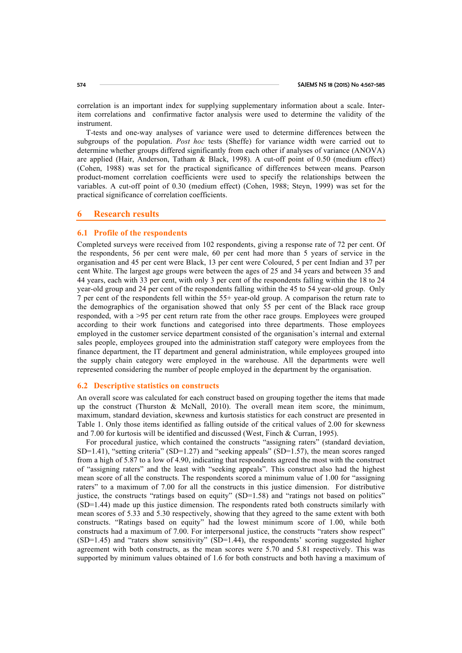correlation is an important index for supplying supplementary information about a scale. Interitem correlations and confirmative factor analysis were used to determine the validity of the instrument.

T-tests and one-way analyses of variance were used to determine differences between the subgroups of the population. *Post hoc* tests (Sheffe) for variance width were carried out to determine whether groups differed significantly from each other if analyses of variance (ANOVA) are applied (Hair, Anderson, Tatham & Black, 1998). A cut-off point of 0.50 (medium effect) (Cohen, 1988) was set for the practical significance of differences between means. Pearson product-moment correlation coefficients were used to specify the relationships between the variables. A cut-off point of 0.30 (medium effect) (Cohen, 1988; Steyn, 1999) was set for the practical significance of correlation coefficients.

### **6 Research results**

## **6.1 Profile of the respondents**

Completed surveys were received from 102 respondents, giving a response rate of 72 per cent. Of the respondents, 56 per cent were male, 60 per cent had more than 5 years of service in the organisation and 45 per cent were Black, 13 per cent were Coloured, 5 per cent Indian and 37 per cent White. The largest age groups were between the ages of 25 and 34 years and between 35 and 44 years, each with 33 per cent, with only 3 per cent of the respondents falling within the 18 to 24 year-old group and 24 per cent of the respondents falling within the 45 to 54 year-old group. Only 7 per cent of the respondents fell within the 55+ year-old group. A comparison the return rate to the demographics of the organisation showed that only 55 per cent of the Black race group responded, with a >95 per cent return rate from the other race groups. Employees were grouped according to their work functions and categorised into three departments. Those employees employed in the customer service department consisted of the organisation's internal and external sales people, employees grouped into the administration staff category were employees from the finance department, the IT department and general administration, while employees grouped into the supply chain category were employed in the warehouse. All the departments were well represented considering the number of people employed in the department by the organisation.

## **6.2 Descriptive statistics on constructs**

An overall score was calculated for each construct based on grouping together the items that made up the construct (Thurston & McNall, 2010). The overall mean item score, the minimum, maximum, standard deviation, skewness and kurtosis statistics for each construct are presented in Table 1. Only those items identified as falling outside of the critical values of 2.00 for skewness and 7.00 for kurtosis will be identified and discussed (West, Finch & Curran, 1995).

For procedural justice, which contained the constructs "assigning raters" (standard deviation, SD=1.41), "setting criteria" (SD=1.27) and "seeking appeals" (SD=1.57), the mean scores ranged from a high of 5.87 to a low of 4.90, indicating that respondents agreed the most with the construct of "assigning raters" and the least with "seeking appeals". This construct also had the highest mean score of all the constructs. The respondents scored a minimum value of 1.00 for "assigning raters" to a maximum of 7.00 for all the constructs in this justice dimension. For distributive justice, the constructs "ratings based on equity" (SD=1.58) and "ratings not based on politics"  $(SD=1.44)$  made up this justice dimension. The respondents rated both constructs similarly with mean scores of 5.33 and 5.30 respectively, showing that they agreed to the same extent with both constructs. "Ratings based on equity" had the lowest minimum score of 1.00, while both constructs had a maximum of 7.00. For interpersonal justice, the constructs "raters show respect" (SD=1.45) and "raters show sensitivity" (SD=1.44), the respondents' scoring suggested higher agreement with both constructs, as the mean scores were 5.70 and 5.81 respectively. This was supported by minimum values obtained of 1.6 for both constructs and both having a maximum of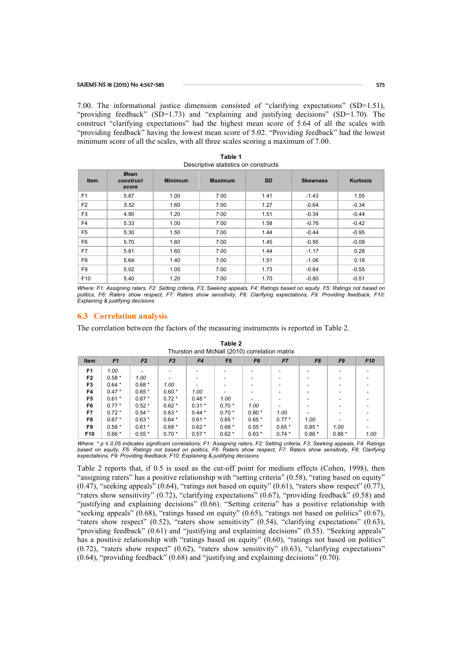7.00. The informational justice dimension consisted of "clarifying expectations" (SD=1.51), "providing feedback" (SD=1.73) and "explaining and justifying decisions" (SD=1.70). The construct "clarifying expectations" had the highest mean score of 5.64 of all the scales with "providing feedback" having the lowest mean score of 5.02. "Providing feedback" had the lowest minimum score of all the scales, with all three scales scoring a maximum of 7.00.

|                 | Descriptive statistics on constructs |                |                |           |                 |                 |  |  |
|-----------------|--------------------------------------|----------------|----------------|-----------|-----------------|-----------------|--|--|
| Item            | <b>Mean</b><br>construct<br>score    | <b>Minimum</b> | <b>Maximum</b> | <b>SD</b> | <b>Skewness</b> | <b>Kurtosis</b> |  |  |
| F <sub>1</sub>  | 5.87                                 | 1.00           | 7.00           | 1.41      | $-1.43$         | 1.55            |  |  |
| F <sub>2</sub>  | 5.52                                 | 1.60           | 7.00           | 1.27      | $-0.64$         | $-0.34$         |  |  |
| F <sub>3</sub>  | 4.90                                 | 1.20           | 7.00           | 1.51      | $-0.34$         | $-0.44$         |  |  |
| F <sub>4</sub>  | 5.33                                 | 1.00           | 7.00           | 1.58      | $-0.76$         | $-0.42$         |  |  |
| F <sub>5</sub>  | 5.30                                 | 1.50           | 7.00           | 1.44      | $-0.44$         | $-0.95$         |  |  |
| F6              | 5.70                                 | 1.60           | 7.00           | 1.45      | $-0.95$         | $-0.09$         |  |  |
| F7              | 5.81                                 | 1.60           | 7.00           | 1.44      | $-1.17$         | 0.28            |  |  |
| F <sub>8</sub>  | 5.64                                 | 1.40           | 7.00           | 1.51      | $-1.06$         | 0.18            |  |  |
| F <sub>9</sub>  | 5.02                                 | 1.00           | 7.00           | 1.73      | $-0.64$         | $-0.55$         |  |  |
| F <sub>10</sub> | 5.40                                 | 1.20           | 7.00           | 1.70      | $-0.80$         | $-0.51$         |  |  |

**Table 1** Descriptive statistics on constructs

*Where: F1: Assigning raters, F2: Setting criteria, F3: Seeking appeals, F4: Ratings based on equity, F5: Ratings not based on politics, F6: Raters show respect, F7: Raters show sensitivity, F8: Clarifying expectations, F9: Providing feedback, F10: Explaining & justifying decisions*

### **6.3 Correlation analysis**

The correlation between the factors of the measuring instruments is reported in Table 2.

| I hurston and McNail (2010) correlation matrix |                |                |                |         |                |         |         |         |         |                 |
|------------------------------------------------|----------------|----------------|----------------|---------|----------------|---------|---------|---------|---------|-----------------|
| Item                                           | F <sub>1</sub> | F <sub>2</sub> | F <sub>3</sub> | F4      | F <sub>5</sub> | F6      | F7      | F8      | F9      | F <sub>10</sub> |
| F <sub>1</sub>                                 | 1.00           |                |                |         |                |         |         |         |         |                 |
| F <sub>2</sub>                                 | $0.58*$        | 1.00           |                | -       |                |         |         |         |         |                 |
| F3                                             | $0.64*$        | $0.68*$        | 1.00           |         |                |         |         |         |         |                 |
| F4                                             | $0.47*$        | $0.65*$        | $0.60*$        | 1.00    |                |         |         |         |         |                 |
| F5                                             | $0.61*$        | $0.67*$        | $0.72*$        | $0.48*$ | 1.00           |         |         |         |         |                 |
| F6                                             | $0.77*$        | $0.52*$        | $0.62*$        | $0.31*$ | $0.70*$        | 1.00    |         |         |         |                 |
| F7                                             | $0.72*$        | $0.54*$        | $0.63*$        | $0.44*$ | $0.70*$        | $0.80*$ | 1.00    |         |         |                 |
| F8                                             | $0.67*$        | $0.63*$        | $0.64*$        | $0.61*$ | $0.65*$        | $0.65*$ | $0.77*$ | 1.00    |         |                 |
| F9                                             | $0.58*$        | $0.61*$        | $0.68*$        | $0.62*$ | $0.68*$        | $0.55*$ | $0.65*$ | $0.85*$ | 1.00    |                 |
| F <sub>10</sub>                                | $0.66*$        | $0.55*$        | $0.70*$        | $0.57*$ | $0.62*$        | $0.63*$ | $0.74*$ | $0.86*$ | $0.86*$ | 1.00            |

#### **Table 2** Thurston and McNall (2010) correlation matrix

*Where: \* p ≤ 0.05 indicates significant correlations; F1: Assigning raters, F2: Setting criteria, F3: Seeking appeals, F4: Ratings based on equity, F5: Ratings not based on politics, F6: Raters show respect, F7: Raters show sensitivity, F8: Clarifying expectations, F9: Providing feedback, F10: Explaining & justifying decisions*

Table 2 reports that, if 0.5 is used as the cut-off point for medium effects (Cohen, 1998), then "assigning raters" has a positive relationship with "setting criteria" (0.58), "rating based on equity" (0.47), "seeking appeals" (0.64), "ratings not based on equity" (0.61), "raters show respect" (0.77), "raters show sensitivity" (0.72), "clarifying expectations" (0.67), "providing feedback" (0.58) and "justifying and explaining decisions" (0.66). "Setting criteria" has a positive relationship with "seeking appeals" (0.68), "ratings based on equity" (0.65), "ratings not based on politics" (0.67), "raters show respect" (0.52), "raters show sensitivity" (0.54), "clarifying expectations" (0.63), "providing feedback" (0.61) and "justifying and explaining decisions" (0.55). "Seeking appeals" has a positive relationship with "ratings based on equity" (0.60), "ratings not based on politics" (0.72), "raters show respect" (0.62), "raters show sensitivity" (0.63), "clarifying expectations" (0.64), "providing feedback" (0.68) and "justifying and explaining decisions" (0.70).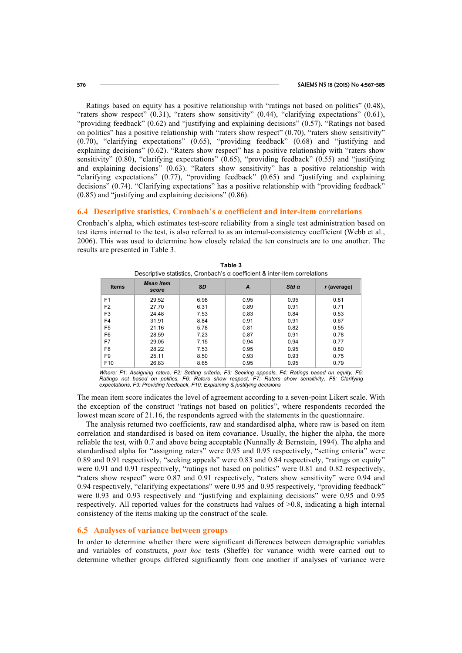Ratings based on equity has a positive relationship with "ratings not based on politics" (0.48), "raters show respect" (0.31), "raters show sensitivity" (0.44), "clarifying expectations" (0.61), "providing feedback" (0.62) and "justifying and explaining decisions" (0.57). "Ratings not based on politics" has a positive relationship with "raters show respect" (0.70), "raters show sensitivity" (0.70), "clarifying expectations" (0.65), "providing feedback" (0.68) and "justifying and explaining decisions" (0.62). "Raters show respect" has a positive relationship with "raters show sensitivity" (0.80), "clarifying expectations" (0.65), "providing feedback" (0.55) and "justifying and explaining decisions" (0.63). "Raters show sensitivity" has a positive relationship with "clarifying expectations" (0.77), "providing feedback" (0.65) and "justifying and explaining decisions" (0.74). "Clarifying expectations" has a positive relationship with "providing feedback" (0.85) and "justifying and explaining decisions" (0.86).

### **6.4 Descriptive statistics, Cronbach's α coefficient and inter-item correlations**

Cronbach's alpha, which estimates test-score reliability from a single test administration based on test items internal to the test, is also referred to as an internal-consistency coefficient (Webb et al., 2006). This was used to determine how closely related the ten constructs are to one another. The results are presented in Table 3.

| Descriptive statistics, Cronbach's $\alpha$ coefficient & inter-item correlations |                           |           |      |              |             |  |  |
|-----------------------------------------------------------------------------------|---------------------------|-----------|------|--------------|-------------|--|--|
| <b>Items</b>                                                                      | <b>Mean item</b><br>score | <b>SD</b> | A    | $Std \alpha$ | r (average) |  |  |
| F <sub>1</sub>                                                                    | 29.52                     | 6.98      | 0.95 | 0.95         | 0.81        |  |  |
| F <sub>2</sub>                                                                    | 27.70                     | 6.31      | 0.89 | 0.91         | 0.71        |  |  |
| F <sub>3</sub>                                                                    | 24.48                     | 7.53      | 0.83 | 0.84         | 0.53        |  |  |
| F <sub>4</sub>                                                                    | 31.91                     | 8.84      | 0.91 | 0.91         | 0.67        |  |  |
| F <sub>5</sub>                                                                    | 21.16                     | 5.78      | 0.81 | 0.82         | 0.55        |  |  |
| F <sub>6</sub>                                                                    | 28.59                     | 7.23      | 0.87 | 0.91         | 0.78        |  |  |
| F7                                                                                | 29.05                     | 7.15      | 0.94 | 0.94         | 0.77        |  |  |
| F <sub>8</sub>                                                                    | 28.22                     | 7.53      | 0.95 | 0.95         | 0.80        |  |  |
| F <sub>9</sub>                                                                    | 25.11                     | 8.50      | 0.93 | 0.93         | 0.75        |  |  |
| F <sub>10</sub>                                                                   | 26.83                     | 8.65      | 0.95 | 0.95         | 0.79        |  |  |

**Table 3**

*Where: F1: Assigning raters, F2: Setting criteria, F3: Seeking appeals, F4: Ratings based on equity, F5: Ratings not based on politics, F6: Raters show respect, F7: Raters show sensitivity, F8: Clarifying expectations, F9: Providing feedback, F10: Explaining & justifying decisions*

The mean item score indicates the level of agreement according to a seven-point Likert scale. With the exception of the construct "ratings not based on politics", where respondents recorded the lowest mean score of 21.16, the respondents agreed with the statements in the questionnaire.

The analysis returned two coefficients, raw and standardised alpha, where raw is based on item correlation and standardised is based on item covariance. Usually, the higher the alpha, the more reliable the test, with 0.7 and above being acceptable (Nunnally & Bernstein, 1994). The alpha and standardised alpha for "assigning raters" were 0.95 and 0.95 respectively, "setting criteria" were 0.89 and 0.91 respectively, "seeking appeals" were 0.83 and 0.84 respectively, "ratings on equity" were 0.91 and 0.91 respectively, "ratings not based on politics" were 0.81 and 0.82 respectively, "raters show respect" were 0.87 and 0.91 respectively, "raters show sensitivity" were 0.94 and 0.94 respectively, "clarifying expectations" were 0.95 and 0.95 respectively, "providing feedback" were 0.93 and 0.93 respectively and "justifying and explaining decisions" were 0,95 and 0.95 respectively. All reported values for the constructs had values of >0.8, indicating a high internal consistency of the items making up the construct of the scale.

### **6.5 Analyses of variance between groups**

In order to determine whether there were significant differences between demographic variables and variables of constructs, *post hoc* tests (Sheffe) for variance width were carried out to determine whether groups differed significantly from one another if analyses of variance were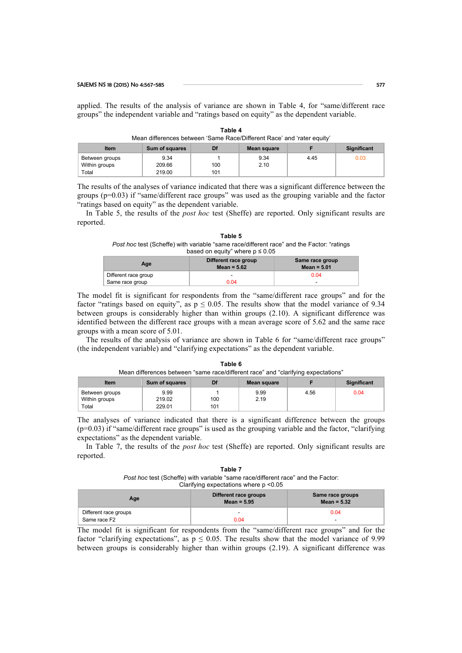applied. The results of the analysis of variance are shown in Table 4, for "same/different race groups" the independent variable and "ratings based on equity" as the dependent variable.

| Mean differences between 'Same Race/Different Race' and 'rater equity' |                       |     |             |      |                    |  |  |
|------------------------------------------------------------------------|-----------------------|-----|-------------|------|--------------------|--|--|
| <b>Item</b>                                                            | <b>Sum of squares</b> | Df  | Mean square |      | <b>Significant</b> |  |  |
| Between groups                                                         | 9.34                  |     | 9.34        | 4.45 | 0.03               |  |  |
| Within groups                                                          | 209.66                | 100 | 2.10        |      |                    |  |  |
| Total                                                                  | 219.00                | 101 |             |      |                    |  |  |

**Table 4** Mean differences between 'Same Race/Different Race' and 'rater equity'

The results of the analyses of variance indicated that there was a significant difference between the groups (p=0.03) if "same/different race groups" was used as the grouping variable and the factor "ratings based on equity" as the dependent variable.

In Table 5, the results of the *post hoc* test (Sheffe) are reported. Only significant results are reported.

| Table 5                                                                                   |
|-------------------------------------------------------------------------------------------|
| Post hoc test (Scheffe) with variable "same race/different race" and the Factor: "ratings |
| based on equity" where $p \le 0.05$                                                       |

| Aae                  | Different race group<br>Mean = $5.62$ | Same race group<br>Mean = $5.01$ |
|----------------------|---------------------------------------|----------------------------------|
| Different race group | -                                     | 0.04                             |
| Same race group      | ገ በ4                                  | -                                |

The model fit is significant for respondents from the "same/different race groups" and for the factor "ratings based on equity", as  $p \le 0.05$ . The results show that the model variance of 9.34 between groups is considerably higher than within groups (2.10). A significant difference was identified between the different race groups with a mean average score of 5.62 and the same race groups with a mean score of 5.01.

The results of the analysis of variance are shown in Table 6 for "same/different race groups" (the independent variable) and "clarifying expectations" as the dependent variable.

| Mean differences between "same race/different race" and "clarifying expectations" |                |     |              |      |                    |  |
|-----------------------------------------------------------------------------------|----------------|-----|--------------|------|--------------------|--|
| Item                                                                              | Sum of squares | Df  | Mean square  |      | <b>Significant</b> |  |
| Between groups<br>Within groups                                                   | 9.99<br>219.02 | 100 | 9.99<br>2.19 | 4.56 | 0.04               |  |
| Total                                                                             | 229.01         | 101 |              |      |                    |  |

**Table 6**  $\blacksquare$  Mult v<br>Mean differences between "same race/different race" and "clarify in and "clarify"

The analyses of variance indicated that there is a significant difference between the groups  $(p=0.03)$  if "same/different race groups" is used as the grouping variable and the factor, "clarifying expectations" as the dependent variable.

In Table 7, the results of the *post hoc* test (Sheffe) are reported. Only significant results are reported.

| Table 7                                                                          |
|----------------------------------------------------------------------------------|
| Post hoc test (Scheffe) with variable "same race/different race" and the Factor: |
| Clarifying expectations where $p \leq 0.05$                                      |

| Age                   | Different race groups<br>Mean = $5.95$ | Same race groups<br>Mean = $5.32$ |
|-----------------------|----------------------------------------|-----------------------------------|
| Different race groups | $\overline{\phantom{a}}$               | 0.04                              |
| Same race F2          | 0.04                                   | -                                 |

The model fit is significant for respondents from the "same/different race groups" and for the factor "clarifying expectations", as  $p \le 0.05$ . The results show that the model variance of 9.99 between groups is considerably higher than within groups (2.19). A significant difference was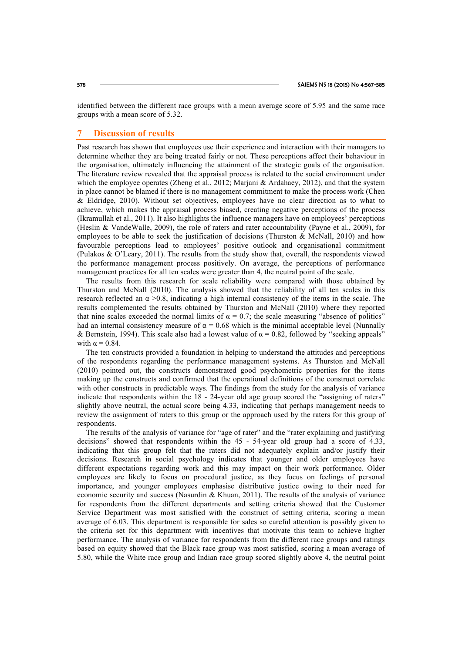identified between the different race groups with a mean average score of 5.95 and the same race groups with a mean score of 5.32.

## **7 Discussion of results**

Past research has shown that employees use their experience and interaction with their managers to determine whether they are being treated fairly or not. These perceptions affect their behaviour in the organisation, ultimately influencing the attainment of the strategic goals of the organisation. The literature review revealed that the appraisal process is related to the social environment under which the employee operates (Zheng et al., 2012; Marjani & Ardahaey, 2012), and that the system in place cannot be blamed if there is no management commitment to make the process work (Chen & Eldridge, 2010). Without set objectives, employees have no clear direction as to what to achieve, which makes the appraisal process biased, creating negative perceptions of the process (Ikramullah et al., 2011). It also highlights the influence managers have on employees' perceptions (Heslin & VandeWalle, 2009), the role of raters and rater accountability (Payne et al., 2009), for employees to be able to seek the justification of decisions (Thurston & McNall, 2010) and how favourable perceptions lead to employees' positive outlook and organisational commitment (Pulakos & O'Leary, 2011). The results from the study show that, overall, the respondents viewed the performance management process positively. On average, the perceptions of performance management practices for all ten scales were greater than 4, the neutral point of the scale.

The results from this research for scale reliability were compared with those obtained by Thurston and McNall (2010). The analysis showed that the reliability of all ten scales in this research reflected an  $\alpha > 0.8$ , indicating a high internal consistency of the items in the scale. The results complemented the results obtained by Thurston and McNall (2010) where they reported that nine scales exceeded the normal limits of  $\alpha = 0.7$ ; the scale measuring "absence of politics" had an internal consistency measure of  $\alpha = 0.68$  which is the minimal acceptable level (Nunnally & Bernstein, 1994). This scale also had a lowest value of  $\alpha = 0.82$ , followed by "seeking appeals" with  $\alpha = 0.84$ .

The ten constructs provided a foundation in helping to understand the attitudes and perceptions of the respondents regarding the performance management systems. As Thurston and McNall (2010) pointed out, the constructs demonstrated good psychometric properties for the items making up the constructs and confirmed that the operational definitions of the construct correlate with other constructs in predictable ways. The findings from the study for the analysis of variance indicate that respondents within the 18 - 24-year old age group scored the "assigning of raters" slightly above neutral, the actual score being 4.33, indicating that perhaps management needs to review the assignment of raters to this group or the approach used by the raters for this group of respondents.

The results of the analysis of variance for "age of rater" and the "rater explaining and justifying decisions" showed that respondents within the 45 - 54-year old group had a score of 4.33, indicating that this group felt that the raters did not adequately explain and/or justify their decisions. Research in social psychology indicates that younger and older employees have different expectations regarding work and this may impact on their work performance. Older employees are likely to focus on procedural justice, as they focus on feelings of personal importance, and younger employees emphasise distributive justice owing to their need for economic security and success (Nasurdin & Khuan, 2011). The results of the analysis of variance for respondents from the different departments and setting criteria showed that the Customer Service Department was most satisfied with the construct of setting criteria, scoring a mean average of 6.03. This department is responsible for sales so careful attention is possibly given to the criteria set for this department with incentives that motivate this team to achieve higher performance. The analysis of variance for respondents from the different race groups and ratings based on equity showed that the Black race group was most satisfied, scoring a mean average of 5.80, while the White race group and Indian race group scored slightly above 4, the neutral point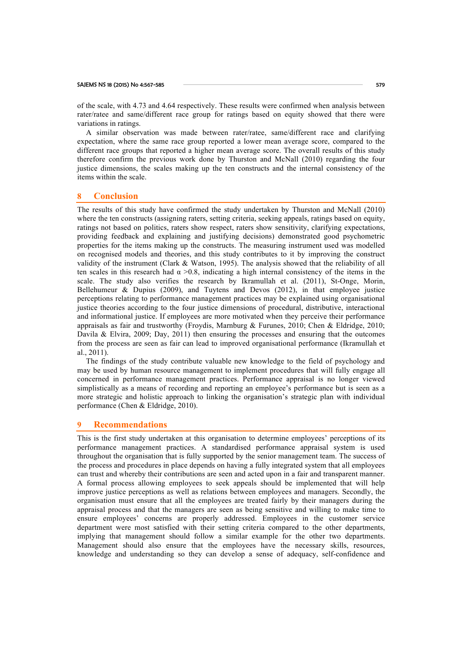#### SAJEMS NS 18 (2015) No 4:567-585  $\overline{\phantom{a}}$  579

of the scale, with 4.73 and 4.64 respectively. These results were confirmed when analysis between rater/ratee and same/different race group for ratings based on equity showed that there were variations in ratings.

A similar observation was made between rater/ratee, same/different race and clarifying expectation, where the same race group reported a lower mean average score, compared to the different race groups that reported a higher mean average score. The overall results of this study therefore confirm the previous work done by Thurston and McNall (2010) regarding the four justice dimensions, the scales making up the ten constructs and the internal consistency of the items within the scale.

## **8 Conclusion**

The results of this study have confirmed the study undertaken by Thurston and McNall (2010) where the ten constructs (assigning raters, setting criteria, seeking appeals, ratings based on equity, ratings not based on politics, raters show respect, raters show sensitivity, clarifying expectations, providing feedback and explaining and justifying decisions) demonstrated good psychometric properties for the items making up the constructs. The measuring instrument used was modelled on recognised models and theories, and this study contributes to it by improving the construct validity of the instrument (Clark & Watson, 1995). The analysis showed that the reliability of all ten scales in this research had  $\alpha > 0.8$ , indicating a high internal consistency of the items in the scale. The study also verifies the research by Ikramullah et al. (2011), St-Onge, Morin, Bellehumeur  $\&$  Dupius (2009), and Tuytens and Devos (2012), in that employee justice perceptions relating to performance management practices may be explained using organisational justice theories according to the four justice dimensions of procedural, distributive, interactional and informational justice. If employees are more motivated when they perceive their performance appraisals as fair and trustworthy (Froydis, Marnburg & Furunes, 2010; Chen & Eldridge, 2010; Davila & Elvira, 2009; Day, 2011) then ensuring the processes and ensuring that the outcomes from the process are seen as fair can lead to improved organisational performance (Ikramullah et al., 2011).

The findings of the study contribute valuable new knowledge to the field of psychology and may be used by human resource management to implement procedures that will fully engage all concerned in performance management practices. Performance appraisal is no longer viewed simplistically as a means of recording and reporting an employee's performance but is seen as a more strategic and holistic approach to linking the organisation's strategic plan with individual performance (Chen & Eldridge, 2010).

## **9 Recommendations**

This is the first study undertaken at this organisation to determine employees' perceptions of its performance management practices. A standardised performance appraisal system is used throughout the organisation that is fully supported by the senior management team. The success of the process and procedures in place depends on having a fully integrated system that all employees can trust and whereby their contributions are seen and acted upon in a fair and transparent manner. A formal process allowing employees to seek appeals should be implemented that will help improve justice perceptions as well as relations between employees and managers. Secondly, the organisation must ensure that all the employees are treated fairly by their managers during the appraisal process and that the managers are seen as being sensitive and willing to make time to ensure employees' concerns are properly addressed. Employees in the customer service department were most satisfied with their setting criteria compared to the other departments, implying that management should follow a similar example for the other two departments. Management should also ensure that the employees have the necessary skills, resources, knowledge and understanding so they can develop a sense of adequacy, self-confidence and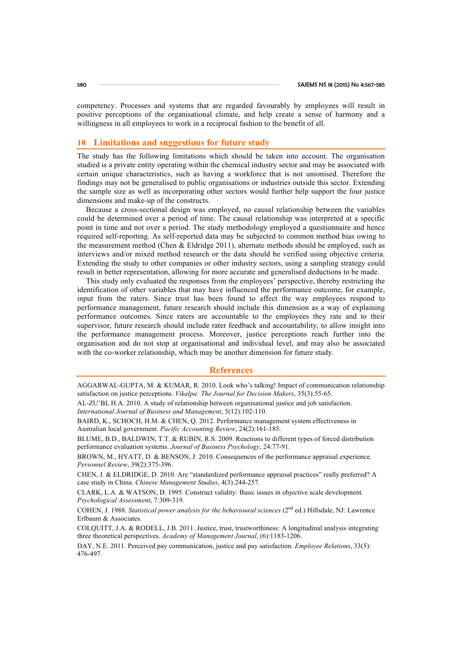competency. Processes and systems that are regarded favourably by employees will result in positive perceptions of the organisational climate, and help create a sense of harmony and a willingness in all employees to work in a reciprocal fashion to the benefit of all.

## **10 Limitations and suggestions for future study**

The study has the following limitations which should be taken into account. The organisation studied is a private entity operating within the chemical industry sector and may be associated with certain unique characteristics, such as having a workforce that is not unionised. Therefore the findings may not be generalised to public organisations or industries outside this sector. Extending the sample size as well as incorporating other sectors would further help support the four justice dimensions and make-up of the constructs.

Because a cross-sectional design was employed, no causal relationship between the variables could be determined over a period of time. The causal relationship was interpreted at a specific point in time and not over a period. The study methodology employed a questionnaire and hence required self-reporting. As self-reported data may be subjected to common method bias owing to the measurement method (Chen & Eldridge 2011), alternate methods should be employed, such as interviews and/or mixed method research or the data should be verified using objective criteria. Extending the study to other companies or other industry sectors, using a sampling strategy could result in better representation, allowing for more accurate and generalised deductions to be made.

This study only evaluated the responses from the employees' perspective, thereby restricting the identification of other variables that may have influenced the performance outcome, for example, input from the raters. Since trust has been found to affect the way employees respond to performance management, future research should include this dimension as a way of explaining performance outcomes. Since raters are accountable to the employees they rate and to their supervisor, future research should include rater feedback and accountability, to allow insight into the performance management process. Moreover, justice perceptions reach further into the organisation and do not stop at organisational and individual level, and may also be associated with the co-worker relationship, which may be another dimension for future study.

## **References**

AGGARWAL-GUPTA, M. & KUMAR, R. 2010. Look who's talking! Impact of communication relationship satisfaction on justice perceptions. *Vikalpa: The Journal for Decision Makers*, 35(3):55-65.

AL-ZU'BI, H.A. 2010. A study of relationship between organisational justice and job satisfaction. *International Journal of Business and Management*, 5(12):102-110.

BAIRD, K., SCHOCH, H.M. & CHEN, Q. 2012. Performance management system effectiveness in Australian local government. *Pacific Accounting Review*, 24(2):161-185.

BLUME, B.D., BALDWIN, T.T. & RUBIN, R.S. 2009. Reactions to different types of forced distribution performance evaluation systems. *Journal of Business Psychology*, 24:77-91.

BROWN, M., HYATT, D. & BENSON, J. 2010. Consequences of the performance appraisal experience. *Personnel Review*, 39(2):375-396.

CHEN, J. & ELDRIDGE, D. 2010. Are "standardized performance appraisal practices" really preferred? A case study in China. *Chinese Management Studies*, 4(3):244-257.

CLARK, L.A. & WATSON, D. 1995. Construct validity: Basic issues in objective scale development. *Psychological Assessment*, 7:309-319.

COHEN, J. 1988. *Statistical power analysis for the behavioural sciences* (2<sup>nd</sup> ed.) Hillsdale, NJ: Lawrence Erlbaum & Associates.

COLQUITT, J.A. & RODELL, J.B. 2011. Justice, trust, trustworthiness: A longitudinal analysis integrating three theoretical perspectives. *Academy of Management Journal*, (6):1183-1206.

DAY, N.E. 2011. Perceived pay communication, justice and pay satisfaction. *Employee Relations*, 33(5): 476-497.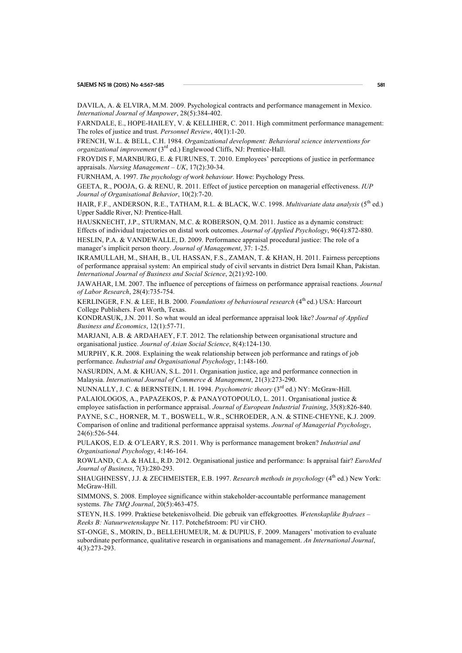| DAVILA, A. & ELVIRA, M.M. 2009. Psychological contracts and performance management in Mexico.<br>International Journal of Manpower, 28(5):384-402.                                                                                                                                                                                |
|-----------------------------------------------------------------------------------------------------------------------------------------------------------------------------------------------------------------------------------------------------------------------------------------------------------------------------------|
| FARNDALE, E., HOPE-HAILEY, V. & KELLIHER, C. 2011. High commitment performance management:<br>The roles of justice and trust. Personnel Review, 40(1):1-20.                                                                                                                                                                       |
| FRENCH, W.L. & BELL, C.H. 1984. Organizational development: Behavioral science interventions for<br>organizational improvement (3 <sup>rd</sup> ed.) Englewood Cliffs, NJ: Prentice-Hall.                                                                                                                                         |
| FROYDIS F, MARNBURG, E. & FURUNES, T. 2010. Employees' perceptions of justice in performance<br>appraisals. Nursing Management - UK, 17(2):30-34.                                                                                                                                                                                 |
| FURNHAM, A. 1997. The psychology of work behaviour. Howe: Psychology Press.                                                                                                                                                                                                                                                       |
| GEETA, R., POOJA, G. & RENU, R. 2011. Effect of justice perception on managerial effectiveness. IUP<br>Journal of Organisational Behavior, 10(2):7-20.                                                                                                                                                                            |
| HAIR, F.F., ANDERSON, R.E., TATHAM, R.L. & BLACK, W.C. 1998. <i>Multivariate data analysis</i> (5 <sup>th</sup> ed.)<br>Upper Saddle River, NJ: Prentice-Hall.                                                                                                                                                                    |
| HAUSKNECHT, J.P., STURMAN, M.C. & ROBERSON, Q.M. 2011. Justice as a dynamic construct:<br>Effects of individual trajectories on distal work outcomes. Journal of Applied Psychology, 96(4):872-880.                                                                                                                               |
| HESLIN, P.A. & VANDEWALLE, D. 2009. Performance appraisal procedural justice: The role of a<br>manager's implicit person theory. Journal of Management, 37: 1-25.                                                                                                                                                                 |
| IKRAMULLAH, M., SHAH, B., UL HASSAN, F.S., ZAMAN, T. & KHAN, H. 2011. Fairness perceptions<br>of performance appraisal system: An empirical study of civil servants in district Dera Ismail Khan, Pakistan.<br>International Journal of Business and Social Science, 2(21):92-100.                                                |
| JAWAHAR, I.M. 2007. The influence of perceptions of fairness on performance appraisal reactions. Journal<br>of Labor Research, 28(4):735-754.                                                                                                                                                                                     |
| KERLINGER, F.N. & LEE, H.B. 2000. Foundations of behavioural research (4 <sup>th</sup> ed.) USA: Harcourt<br>College Publishers. Fort Worth, Texas.                                                                                                                                                                               |
| KONDRASUK, J.N. 2011. So what would an ideal performance appraisal look like? Journal of Applied<br>Business and Economics, 12(1):57-71.                                                                                                                                                                                          |
| MARJANI, A.B. & ARDAHAEY, F.T. 2012. The relationship between organisational structure and<br>organisational justice. Journal of Asian Social Science, 8(4):124-130.                                                                                                                                                              |
| MURPHY, K.R. 2008. Explaining the weak relationship between job performance and ratings of job<br>performance. Industrial and Organisational Psychology, 1:148-160.                                                                                                                                                               |
| NASURDIN, A.M. & KHUAN, S.L. 2011. Organisation justice, age and performance connection in<br>Malaysia. International Journal of Commerce & Management, 21(3):273-290.                                                                                                                                                            |
| NUNNALLY, J. C. & BERNSTEIN, I. H. 1994. <i>Psychometric theory</i> (3 <sup>rd</sup> ed.) NY: McGraw-Hill.                                                                                                                                                                                                                        |
| PALAIOLOGOS, A., PAPAZEKOS, P. & PANAYOTOPOULO, L. 2011. Organisational justice &<br>employee satisfaction in performance appraisal. Journal of European Industrial Training, 35(8):826-840.                                                                                                                                      |
| PAYNE, S.C., HORNER, M. T., BOSWELL, W.R., SCHROEDER, A.N. & STINE-CHEYNE, K.J. 2009.<br>Comparison of online and traditional performance appraisal systems. Journal of Managerial Psychology,<br>24(6):526-544.                                                                                                                  |
| $\overline{N}$ if $\overline{N}$ and $\overline{N}$ and $\overline{N}$ and $\overline{N}$ and $\overline{N}$ and $\overline{N}$ and $\overline{N}$ and $\overline{N}$ and $\overline{N}$ and $\overline{N}$ and $\overline{N}$ and $\overline{N}$ and $\overline{N}$ and $\overline{N}$ and $\overline{N}$ and $\overline{N}$ and |

PULAKOS, E.D. & O'LEARY, R.S. 2011. Why is performance management broken? *Industrial and Organisational Psychology*, 4:146-164.

ROWLAND, C.A. & HALL, R.D. 2012. Organisational justice and performance: Is appraisal fair? *EuroMed Journal of Business*, 7(3):280-293.

SHAUGHNESSY, J.J. & ZECHMEISTER, E.B. 1997. *Research methods in psychology* (4<sup>th</sup> ed.) New York: McGraw-Hill.

SIMMONS, S. 2008. Employee significance within stakeholder-accountable performance management systems. *The TMQ Journal*, 20(5):463-475.

STEYN, H.S. 1999. Praktiese betekenisvolheid. Die gebruik van effekgroottes*. Wetenskaplike Bydraes – Reeks B: Natuurwetenskappe* Nr. 117. Potchefstroom: PU vir CHO.

ST-ONGE, S., MORIN, D., BELLEHUMEUR, M. & DUPIUS, F. 2009. Managers' motivation to evaluate subordinate performance, qualitative research in organisations and management. *An International Journal*, 4(3):273-293.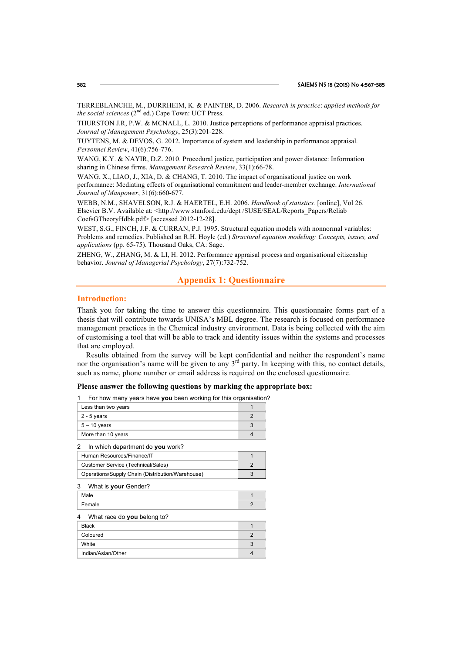TERREBLANCHE, M., DURRHEIM, K. & PAINTER, D. 2006. *Research in practice*: *applied methods for the social sciences*  $(2^{nd}$  ed.) Cape Town: UCT Press.

THURSTON J.R, P.W. & MCNALL, L. 2010. Justice perceptions of performance appraisal practices. *Journal of Management Psychology*, 25(3):201-228.

TUYTENS, M. & DEVOS, G. 2012. Importance of system and leadership in performance appraisal. *Personnel Review*, 41(6):756-776.

WANG, K.Y. & NAYIR, D.Z. 2010. Procedural justice, participation and power distance: Information sharing in Chinese firms. *Management Research Review*, 33(1):66-78.

WANG, X., LIAO, J., XIA, D. & CHANG, T. 2010. The impact of organisational justice on work performance: Mediating effects of organisational commitment and leader-member exchange. *International Journal of Manpower*, 31(6):660-677.

WEBB, N.M., SHAVELSON, R.J. & HAERTEL, E.H. 2006. *Handbook of statistics.* [online], Vol 26. Elsevier B.V. Available at: <http://www.stanford.edu/dept /SUSE/SEAL/Reports\_Papers/Reliab CoefsGTheoryHdbk.pdf> [accessed 2012-12-28].

WEST, S.G., FINCH, J.F. & CURRAN, P.J. 1995. Structural equation models with nonnormal variables: Problems and remedies. Published an R.H. Hoyle (ed.) *Structural equation modeling: Concepts, issues, and applications* (pp. 65-75). Thousand Oaks, CA: Sage.

ZHENG, W., ZHANG, M. & LI, H. 2012. Performance appraisal process and organisational citizenship behavior. *Journal of Managerial Psychology*, 27(7):732-752.

## **Appendix 1: Questionnaire**

### **Introduction:**

Thank you for taking the time to answer this questionnaire. This questionnaire forms part of a thesis that will contribute towards UNISA's MBL degree. The research is focused on performance management practices in the Chemical industry environment. Data is being collected with the aim of customising a tool that will be able to track and identity issues within the systems and processes that are employed.

Results obtained from the survey will be kept confidential and neither the respondent's name nor the organisation's name will be given to any  $3<sup>rd</sup>$  party. In keeping with this, no contact details, such as name, phone number or email address is required on the enclosed questionnaire.

### **Please answer the following questions by marking the appropriate box:**

1 For how many years have **you** been working for this organisation?

| Less than two years                              | 1              |
|--------------------------------------------------|----------------|
| $2 - 5$ years                                    | $\overline{2}$ |
| $5 - 10$ years                                   | 3              |
| More than 10 years                               | 4              |
| In which department do you work?<br>2            |                |
| Human Resources/Finance/IT                       | $\overline{1}$ |
| Customer Service (Technical/Sales)               | $\overline{2}$ |
| Operations/Supply Chain (Distribution/Warehouse) | 3              |
| 3<br>What is your Gender?                        |                |
| Male                                             | $\mathbf{1}$   |
| Female                                           | $\overline{2}$ |
| What race do you belong to?<br>4                 |                |
| <b>Black</b>                                     | 1              |
| Coloured                                         | $\mathfrak{p}$ |
| White                                            | 3              |
| Indian/Asian/Other                               | 4              |
|                                                  |                |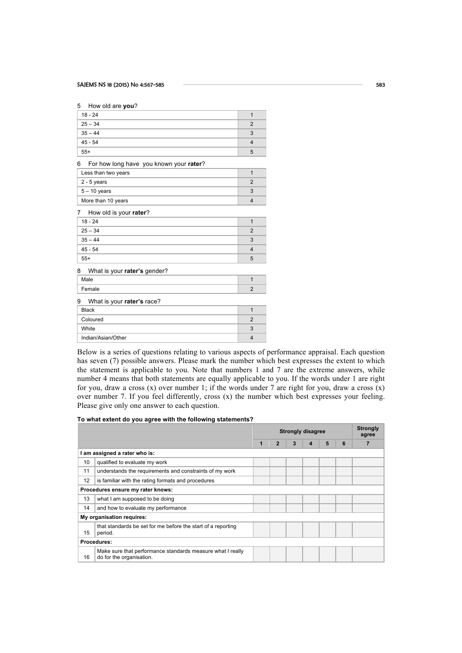#### SAJEMS NS 18 (2015) No 4:567-585 583

| 5 |  |  |  | How old are you? |  |
|---|--|--|--|------------------|--|
|---|--|--|--|------------------|--|

| 18 - 24   |  |
|-----------|--|
| $25 - 34$ |  |
| $35 - 44$ |  |
| 45 - 54   |  |
| $55+$     |  |

#### 6 For how long have you known your **rater**?

| Less than two years |  |
|---------------------|--|
| 2 - 5 years         |  |
| $5 - 10$ years      |  |
| More than 10 years  |  |

7 How old is your **rater**?

| . .       |  |
|-----------|--|
| 18 - 24   |  |
| $25 - 34$ |  |
| $35 - 44$ |  |
| 45 - 54   |  |
| $55+$     |  |

| What is your <b>rater's</b> gender?<br>8 |   |
|------------------------------------------|---|
| Male                                     |   |
| Female                                   | 2 |
| What is your rater's race?<br>9          |   |
| <b>Black</b>                             |   |
| Coloured                                 | 2 |
| White                                    | 3 |
| Indian/Asian/Other                       |   |

Below is a series of questions relating to various aspects of performance appraisal. Each question has seven (7) possible answers. Please mark the number which best expresses the extent to which the statement is applicable to you. Note that numbers 1 and 7 are the extreme answers, while number 4 means that both statements are equally applicable to you. If the words under 1 are right for you, draw a cross (x) over number 1; if the words under 7 are right for you, draw a cross (x) over number 7. If you feel differently, cross (x) the number which best expresses your feeling. Please give only one answer to each question.

**To what extent do you agree with the following statements?**

|    |                                                                                        | <b>Strongly disagree</b> |              |   |   |   |   | <b>Strongly</b><br>agree |
|----|----------------------------------------------------------------------------------------|--------------------------|--------------|---|---|---|---|--------------------------|
|    |                                                                                        | 1                        | $\mathbf{2}$ | 3 | 4 | 5 | 6 |                          |
|    | I am assigned a rater who is:                                                          |                          |              |   |   |   |   |                          |
| 10 | qualified to evaluate my work                                                          |                          |              |   |   |   |   |                          |
| 11 | understands the requirements and constraints of my work                                |                          |              |   |   |   |   |                          |
| 12 | is familiar with the rating formats and procedures                                     |                          |              |   |   |   |   |                          |
|    | Procedures ensure my rater knows:                                                      |                          |              |   |   |   |   |                          |
| 13 | what I am supposed to be doing                                                         |                          |              |   |   |   |   |                          |
| 14 | and how to evaluate my performance                                                     |                          |              |   |   |   |   |                          |
|    | My organisation requires:                                                              |                          |              |   |   |   |   |                          |
| 15 | that standards be set for me before the start of a reporting<br>period.                |                          |              |   |   |   |   |                          |
|    | Procedures:                                                                            |                          |              |   |   |   |   |                          |
| 16 | Make sure that performance standards measure what I really<br>do for the organisation. |                          |              |   |   |   |   |                          |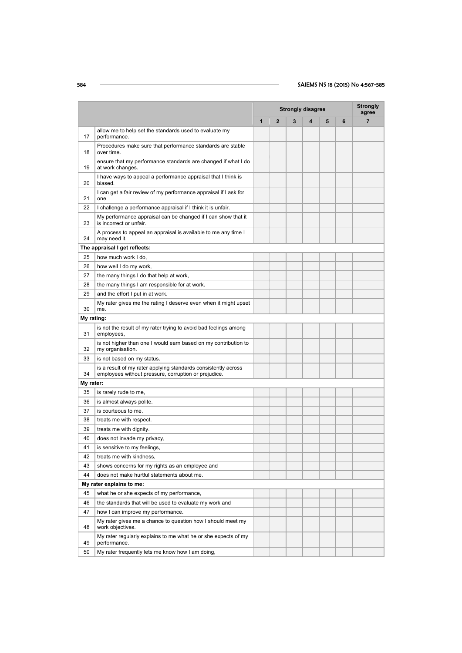|            |                                                                                                                        | <b>Strongly disagree</b> |                |   |   |   |   | <b>Strongly</b><br>agree |
|------------|------------------------------------------------------------------------------------------------------------------------|--------------------------|----------------|---|---|---|---|--------------------------|
|            |                                                                                                                        | $\mathbf{1}$             | $\overline{2}$ | 3 | 4 | 5 | 6 | $\overline{7}$           |
| 17         | allow me to help set the standards used to evaluate my<br>performance.                                                 |                          |                |   |   |   |   |                          |
| 18         | Procedures make sure that performance standards are stable<br>over time.                                               |                          |                |   |   |   |   |                          |
| 19         | ensure that my performance standards are changed if what I do<br>at work changes.                                      |                          |                |   |   |   |   |                          |
| 20         | I have ways to appeal a performance appraisal that I think is<br>biased.                                               |                          |                |   |   |   |   |                          |
| 21         | I can get a fair review of my performance appraisal if I ask for<br>one                                                |                          |                |   |   |   |   |                          |
| 22         | I challenge a performance appraisal if I think it is unfair.                                                           |                          |                |   |   |   |   |                          |
| 23         | My performance appraisal can be changed if I can show that it<br>is incorrect or unfair.                               |                          |                |   |   |   |   |                          |
| 24         | A process to appeal an appraisal is available to me any time I<br>may need it.                                         |                          |                |   |   |   |   |                          |
|            | The appraisal I get reflects:                                                                                          |                          |                |   |   |   |   |                          |
| 25         | how much work I do.                                                                                                    |                          |                |   |   |   |   |                          |
| 26         | how well I do my work,                                                                                                 |                          |                |   |   |   |   |                          |
| 27         | the many things I do that help at work,                                                                                |                          |                |   |   |   |   |                          |
| 28         | the many things I am responsible for at work.                                                                          |                          |                |   |   |   |   |                          |
| 29         | and the effort I put in at work.                                                                                       |                          |                |   |   |   |   |                          |
| 30         | My rater gives me the rating I deserve even when it might upset<br>me.                                                 |                          |                |   |   |   |   |                          |
| My rating: |                                                                                                                        |                          |                |   |   |   |   |                          |
| 31         | is not the result of my rater trying to avoid bad feelings among<br>employees,                                         |                          |                |   |   |   |   |                          |
| 32         | is not higher than one I would earn based on my contribution to<br>my organisation.                                    |                          |                |   |   |   |   |                          |
| 33         | is not based on my status.                                                                                             |                          |                |   |   |   |   |                          |
| 34         | is a result of my rater applying standards consistently across<br>employees without pressure, corruption or prejudice. |                          |                |   |   |   |   |                          |
| My rater:  |                                                                                                                        |                          |                |   |   |   |   |                          |
| 35         | is rarely rude to me,                                                                                                  |                          |                |   |   |   |   |                          |
| 36         | is almost always polite.                                                                                               |                          |                |   |   |   |   |                          |
| 37         | is courteous to me.                                                                                                    |                          |                |   |   |   |   |                          |
| 38         | treats me with respect.                                                                                                |                          |                |   |   |   |   |                          |
| 39         | treats me with dignity.                                                                                                |                          |                |   |   |   |   |                          |
| 40         | does not invade my privacy,                                                                                            |                          |                |   |   |   |   |                          |
| 41         | is sensitive to my feelings,                                                                                           |                          |                |   |   |   |   |                          |
| 42         | treats me with kindness,                                                                                               |                          |                |   |   |   |   |                          |
| 43         | shows concerns for my rights as an employee and                                                                        |                          |                |   |   |   |   |                          |
| 44         | does not make hurtful statements about me.                                                                             |                          |                |   |   |   |   |                          |
|            | My rater explains to me:                                                                                               |                          |                |   |   |   |   |                          |
| 45         | what he or she expects of my performance,                                                                              |                          |                |   |   |   |   |                          |
| 46         | the standards that will be used to evaluate my work and                                                                |                          |                |   |   |   |   |                          |
| 47         | how I can improve my performance.                                                                                      |                          |                |   |   |   |   |                          |
| 48         | My rater gives me a chance to question how I should meet my<br>work objectives.                                        |                          |                |   |   |   |   |                          |
| 49         | My rater regularly explains to me what he or she expects of my<br>performance.                                         |                          |                |   |   |   |   |                          |
| 50         | My rater frequently lets me know how I am doing,                                                                       |                          |                |   |   |   |   |                          |